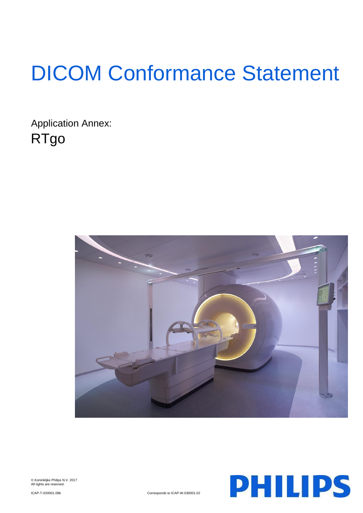# DICOM Conformance Statement

Application Annex: RTgo



© Koninklijke Philips N.V. 2017 All rights are reserved.



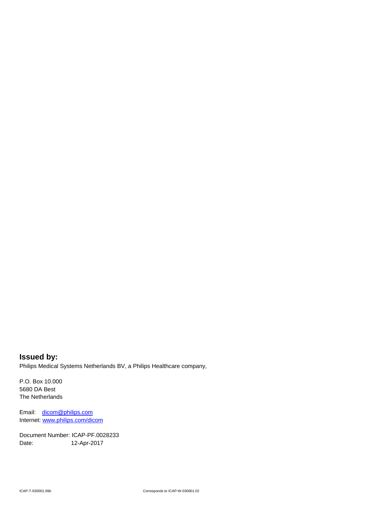**Issued by:** Philips Medical Systems Netherlands BV, a Philips Healthcare company,

P.O. Box 10.000 5680 DA Best The Netherlands

Email: [dicom@philips.com](mailto:dicom@philips.com) Internet[: www.philips.com/dicom](http://www.philips.com/dicom)

Document Number: ICAP-PF.0028233 Date: 12-Apr-2017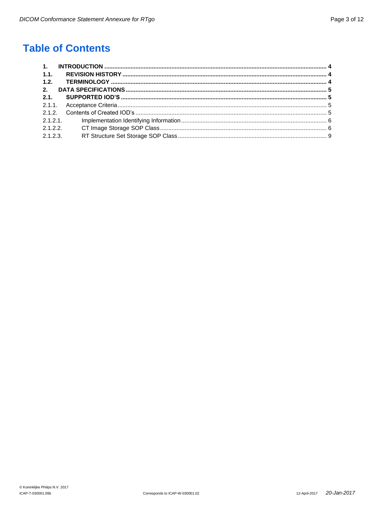# **Table of Contents**

| 1.1.     |         |  |
|----------|---------|--|
| 1.2.     |         |  |
| 2.       |         |  |
|          |         |  |
|          |         |  |
|          |         |  |
|          | 2.1.2.1 |  |
| 2.1.2.2  |         |  |
| 2.1.2.3. |         |  |
|          |         |  |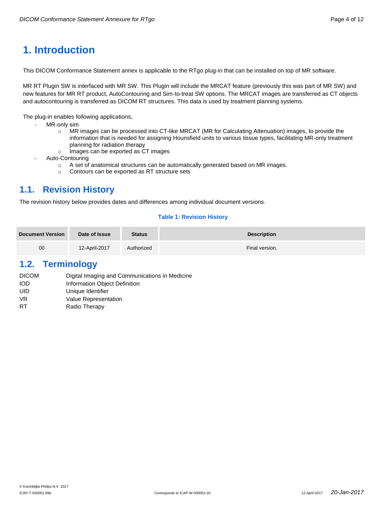# <span id="page-3-0"></span>**1. Introduction**

This DICOM Conformance Statement annex is applicable to the RTgo plug-in that can be installed on top of MR software.

MR RT Plugin SW is interfaced with MR SW. This Plugin will include the MRCAT feature (previously this was part of MR SW) and new features for MR RT product, AutoContouring and Sim-to-treat SW options. The MRCAT images are transferred as CT objects and autocontouring is transferred as DICOM RT structures. This data is used by treatment planning systems.

The plug-in enables following applications,

- MR-only sim
	- o MR images can be processed into CT-like MRCAT (MR for Calculating Attenuation) images, to provide the information that is needed for assigning Hounsfield units to various tissue types, facilitating MR-only treatment planning for radiation therapy
	- o Images can be exported as CT images
- Auto-Contouring
	- o A set of anatomical structures can be automatically generated based on MR images.
	- o Contours can be exported as RT structure sets

# <span id="page-3-1"></span>**1.1. Revision History**

The revision history below provides dates and differences among individual document versions.

#### **Table 1: Revision History**

| <b>Document Version</b> | <b>Status</b><br>Date of Issue |            | <b>Description</b> |  |  |
|-------------------------|--------------------------------|------------|--------------------|--|--|
| 00                      | 12-April-2017                  | Authorized | Final version.     |  |  |

# <span id="page-3-2"></span>**1.2. Terminology**

| <b>DICOM</b> | Digital Imaging and Communications in Medicine |
|--------------|------------------------------------------------|
| <b>IOD</b>   | Information Object Definition                  |
| UID          | Unique Identifier                              |
| VR.          | Value Representation                           |
| RT           | Radio Therapy                                  |
|              |                                                |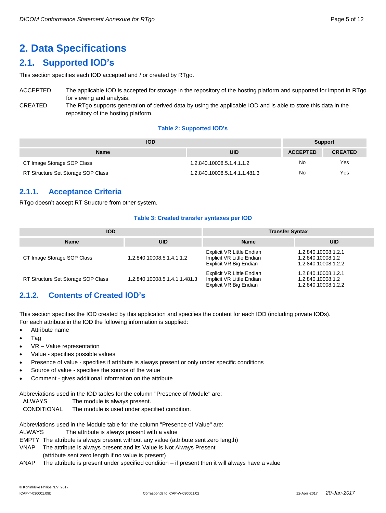# <span id="page-4-0"></span>**2. Data Specifications**

# <span id="page-4-1"></span>**2.1. Supported IOD's**

This section specifies each IOD accepted and / or created by RTgo.

| <b>ACCEPTED</b> | The applicable IOD is accepted for storage in the repository of the hosting platform and supported for import in RTgo |
|-----------------|-----------------------------------------------------------------------------------------------------------------------|
|                 | for viewing and analysis.                                                                                             |
| CREATED         | The RTgo supports generation of derived data by using the applicable IOD and is able to store this data in the        |

repository of the hosting platform.

#### **Table 2: Supported IOD's**

| <b>IOD</b>                         | <b>Support</b>                |                 |                |
|------------------------------------|-------------------------------|-----------------|----------------|
| <b>Name</b>                        | <b>UID</b>                    | <b>ACCEPTED</b> | <b>CREATED</b> |
| CT Image Storage SOP Class         | 1.2.840.10008.5.1.4.1.1.2     | No              | Yes            |
| RT Structure Set Storage SOP Class | 1.2.840.10008.5.1.4.1.1.481.3 | No              | Yes            |

# <span id="page-4-2"></span>**2.1.1. Acceptance Criteria**

RTgo doesn't accept RT Structure from other system.

#### **Table 3: Created transfer syntaxes per IOD**

| <b>IOD</b>                         |                               | <b>Transfer Syntax</b>                                                                  |                                                                 |  |
|------------------------------------|-------------------------------|-----------------------------------------------------------------------------------------|-----------------------------------------------------------------|--|
| <b>Name</b>                        | <b>UID</b>                    | <b>Name</b>                                                                             | <b>UID</b>                                                      |  |
| CT Image Storage SOP Class         | 1.2.840.10008.5.1.4.1.1.2     | <b>Explicit VR Little Endian</b><br>Implicit VR Little Endian<br>Explicit VR Big Endian | 1.2.840.10008.1.2.1<br>1.2.840.10008.1.2<br>1.2.840.10008.1.2.2 |  |
| RT Structure Set Storage SOP Class | 1.2.840.10008.5.1.4.1.1.481.3 | Explicit VR Little Endian<br>Implicit VR Little Endian<br>Explicit VR Big Endian        | 1.2.840.10008.1.2.1<br>1.2.840.10008.1.2<br>1.2.840.10008.1.2.2 |  |

# <span id="page-4-3"></span>**2.1.2. Contents of Created IOD's**

This section specifies the IOD created by this application and specifies the content for each IOD (including private IODs). For each attribute in the IOD the following information is supplied:

- Attribute name
- Tag
- VR Value representation
- Value specifies possible values
- Presence of value specifies if attribute is always present or only under specific conditions
- Source of value specifies the source of the value
- Comment gives additional information on the attribute

Abbreviations used in the IOD tables for the column "Presence of Module" are:

- ALWAYS The module is always present.
- CONDITIONAL The module is used under specified condition.

Abbreviations used in the Module table for the column "Presence of Value" are:

ALWAYS The attribute is always present with a value

EMPTY The attribute is always present without any value (attribute sent zero length)

- VNAP The attribute is always present and its Value is Not Always Present
- (attribute sent zero length if no value is present)
- ANAP The attribute is present under specified condition if present then it will always have a value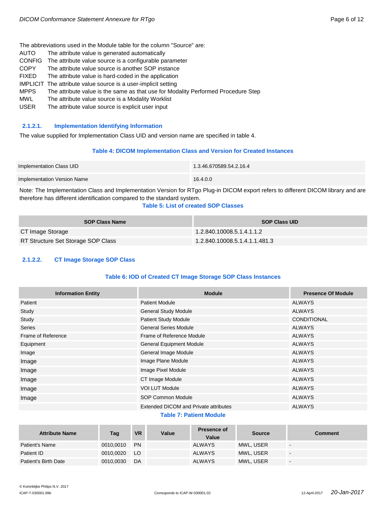The abbreviations used in the Module table for the column "Source" are:

- AUTO The attribute value is generated automatically
- CONFIG The attribute value source is a configurable parameter
- COPY The attribute value source is another SOP instance
- FIXED The attribute value is hard-coded in the application
- IMPLICIT The attribute value source is a user-implicit setting
- MPPS The attribute value is the same as that use for Modality Performed Procedure Step
- MWL The attribute value source is a Modality Worklist
- USER The attribute value source is explicit user input

#### <span id="page-5-0"></span>**2.1.2.1. Implementation Identifying Information**

The value supplied for Implementation Class UID and version name are specified in table 4.

#### **Table 4: DICOM Implementation Class and Version for Created Instances**

| Implementation Class UID    | 1.3.46.670589.54.2.16.4 |
|-----------------------------|-------------------------|
| Implementation Version Name | 16.4.0.0                |

Note: The Implementation Class and Implementation Version for RTgo Plug-in DICOM export refers to different DICOM library and are therefore has different identification compared to the standard system.

#### **Table 5: List of created SOP Classes**

| <b>SOP Class Name</b>              | <b>SOP Class UID</b>          |
|------------------------------------|-------------------------------|
| CT Image Storage                   | 1.2.840.10008.5.1.4.1.1.2     |
| RT Structure Set Storage SOP Class | 1.2.840.10008.5.1.4.1.1.481.3 |

#### <span id="page-5-1"></span>**2.1.2.2. CT Image Storage SOP Class**

#### **Table 6: IOD of Created CT Image Storage SOP Class Instances**

| <b>Information Entity</b> | <b>Module</b>                                | <b>Presence Of Module</b> |
|---------------------------|----------------------------------------------|---------------------------|
| Patient                   | <b>Patient Module</b>                        | <b>ALWAYS</b>             |
| Study                     | <b>General Study Module</b>                  | <b>ALWAYS</b>             |
| Study                     | Patient Study Module                         | <b>CONDITIONAL</b>        |
| <b>Series</b>             | <b>General Series Module</b>                 | <b>ALWAYS</b>             |
| Frame of Reference        | Frame of Reference Module                    | <b>ALWAYS</b>             |
| Equipment                 | <b>General Equipment Module</b>              | <b>ALWAYS</b>             |
| Image                     | General Image Module                         | <b>ALWAYS</b>             |
| Image                     | Image Plane Module                           | <b>ALWAYS</b>             |
| Image                     | Image Pixel Module                           | <b>ALWAYS</b>             |
| Image                     | CT Image Module                              | <b>ALWAYS</b>             |
| Image                     | <b>VOI LUT Module</b>                        | <b>ALWAYS</b>             |
| Image                     | SOP Common Module                            | <b>ALWAYS</b>             |
|                           | <b>Extended DICOM and Private attributes</b> | <b>ALWAYS</b>             |

#### **Table 7: Patient Module**

| <b>Attribute Name</b> | Tag       | <b>VR</b> | Value | Presence of<br>Value | <b>Source</b> | Comment                  |
|-----------------------|-----------|-----------|-------|----------------------|---------------|--------------------------|
| Patient's Name        | 0010.0010 | <b>PN</b> |       | <b>ALWAYS</b>        | MWL, USER     | $\overline{\phantom{0}}$ |
| Patient ID            | 0010,0020 | LO.       |       | <b>ALWAYS</b>        | MWL, USER     | $\overline{\phantom{a}}$ |
| Patient's Birth Date  | 0010,0030 | DA        |       | <b>ALWAYS</b>        | MWL, USER     | $\overline{\phantom{0}}$ |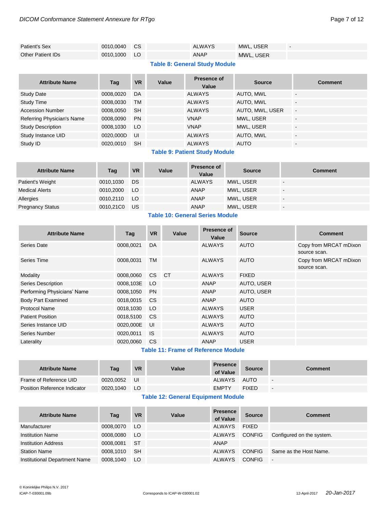| Patient's Sex            | 0010.0040 CS | <b>ALWAYS</b> | MWL. USER | $\overline{\phantom{a}}$ |
|--------------------------|--------------|---------------|-----------|--------------------------|
| <b>Other Patient IDs</b> | 0010.1000 LO | ANAP          | MWL, USER |                          |

## **Table 8: General Study Module**

| <b>Attribute Name</b>      | Taq       | <b>VR</b> | Value | Presence of<br>Value | <b>Source</b>   | <b>Comment</b>           |
|----------------------------|-----------|-----------|-------|----------------------|-----------------|--------------------------|
| <b>Study Date</b>          | 0008,0020 | DA        |       | <b>ALWAYS</b>        | AUTO, MWL       | $\overline{a}$           |
| <b>Study Time</b>          | 0008,0030 | <b>TM</b> |       | <b>ALWAYS</b>        | AUTO, MWL       | $\blacksquare$           |
| <b>Accession Number</b>    | 0008,0050 | <b>SH</b> |       | <b>ALWAYS</b>        | AUTO, MWL, USER | $\blacksquare$           |
| Referring Physician's Name | 0008,0090 | <b>PN</b> |       | <b>VNAP</b>          | MWL, USER       | -                        |
| <b>Study Description</b>   | 0008,1030 | LO        |       | <b>VNAP</b>          | MWL, USER       | $\overline{\phantom{a}}$ |
| Study Instance UID         | 0020,000D | UI        |       | <b>ALWAYS</b>        | AUTO, MWL       | $\overline{a}$           |
| Study ID                   | 0020.0010 | <b>SH</b> |       | <b>ALWAYS</b>        | <b>AUTO</b>     | $\overline{\phantom{a}}$ |

#### **Table 9: Patient Study Module**

| <b>Attribute Name</b>   | Tag       | <b>VR</b> | Value | <b>Presence of</b><br>Value | <b>Source</b> | <b>Comment</b>           |
|-------------------------|-----------|-----------|-------|-----------------------------|---------------|--------------------------|
| Patient's Weight        | 0010,1030 | <b>DS</b> |       | <b>ALWAYS</b>               | MWL, USER     | $\overline{\phantom{a}}$ |
| Medical Alerts          | 0010,2000 | LO        |       | ANAP                        | MWL, USER     |                          |
| Allergies               | 0010.2110 | LO.       |       | <b>ANAP</b>                 | MWL, USER     |                          |
| <b>Pregnancy Status</b> | 0010,21C0 | US        |       | <b>ANAP</b>                 | MWL, USER     |                          |

# **Table 10: General Series Module**

| <b>Attribute Name</b>       | Tag       | <b>VR</b>     | Value     | <b>Presence of</b><br>Value | <b>Source</b> | <b>Comment</b>                         |
|-----------------------------|-----------|---------------|-----------|-----------------------------|---------------|----------------------------------------|
| Series Date                 | 0008.0021 | DA            |           | <b>ALWAYS</b>               | <b>AUTO</b>   | Copy from MRCAT mDixon<br>source scan. |
| Series Time                 | 0008,0031 | <b>TM</b>     |           | <b>ALWAYS</b>               | <b>AUTO</b>   | Copy from MRCAT mDixon<br>source scan. |
| Modality                    | 0008,0060 | CS.           | <b>CT</b> | <b>ALWAYS</b>               | <b>FIXED</b>  |                                        |
| Series Description          | 0008,103E | LO.           |           | ANAP                        | AUTO, USER    |                                        |
| Performing Physicians' Name | 0008,1050 | <b>PN</b>     |           | ANAP                        | AUTO, USER    |                                        |
| <b>Body Part Examined</b>   | 0018,0015 | <sub>CS</sub> |           | ANAP                        | <b>AUTO</b>   |                                        |
| Protocol Name               | 0018,1030 | LO            |           | <b>ALWAYS</b>               | <b>USER</b>   |                                        |
| <b>Patient Position</b>     | 0018,5100 | <sub>CS</sub> |           | <b>ALWAYS</b>               | <b>AUTO</b>   |                                        |
| Series Instance UID         | 0020,000E | UI            |           | <b>ALWAYS</b>               | <b>AUTO</b>   |                                        |
| Series Number               | 0020,0011 | <b>IS</b>     |           | <b>ALWAYS</b>               | <b>AUTO</b>   |                                        |
| Laterality                  | 0020.0060 | <b>CS</b>     |           | ANAP                        | <b>USER</b>   |                                        |

# **Table 11: Frame of Reference Module**

| <b>Attribute Name</b>               | Tag       | <b>VR</b> | Value | <b>Presence</b><br>of Value | <b>Source</b> | Comment     |
|-------------------------------------|-----------|-----------|-------|-----------------------------|---------------|-------------|
| Frame of Reference UID              | 0020.0052 | UI        |       | ALWAYS                      | AUTO          | $\sim$      |
| <b>Position Reference Indicator</b> | 0020.1040 | LO        |       | <b>EMPTY</b>                | <b>FIXED</b>  | $\,$ – $\,$ |

## **Table 12: General Equipment Module**

| <b>Attribute Name</b>         | Tag       | <b>VR</b> | Value | <b>Presence</b><br>of Value | <b>Source</b> | <b>Comment</b>            |
|-------------------------------|-----------|-----------|-------|-----------------------------|---------------|---------------------------|
| Manufacturer                  | 0008,0070 | - LO      |       | <b>ALWAYS</b>               | <b>FIXED</b>  |                           |
| <b>Institution Name</b>       | 0008.0080 | LO.       |       | <b>ALWAYS</b>               | <b>CONFIG</b> | Configured on the system. |
| <b>Institution Address</b>    | 0008.0081 | -ST       |       | ANAP                        |               |                           |
| <b>Station Name</b>           | 0008.1010 | -SH       |       | <b>ALWAYS</b>               | <b>CONFIG</b> | Same as the Host Name.    |
| Institutional Department Name | 0008,1040 | LO        |       | <b>ALWAYS</b>               | <b>CONFIG</b> | $\sim$                    |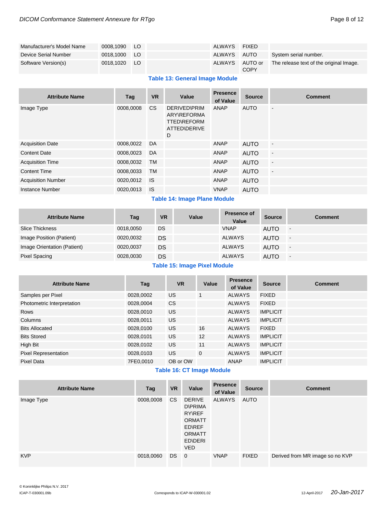| Manufacturer's Model Name | 0008.1090    | LO. | <b>ALWAYS</b> | FIXED                  |                                         |
|---------------------------|--------------|-----|---------------|------------------------|-----------------------------------------|
| Device Serial Number      | 0018.1000 LO |     | ALWAYS        | AUTO                   | System serial number.                   |
| Software Version(s)       | 0018.1020 LO |     | <b>ALWAYS</b> | AUTO or<br><b>COPY</b> | The release text of the original Image. |

#### **Table 13: General Image Module**

| <b>Attribute Name</b>     | Tag       | <b>VR</b>      | Value                                                                                | <b>Presence</b><br>of Value | <b>Source</b> | <b>Comment</b>               |
|---------------------------|-----------|----------------|--------------------------------------------------------------------------------------|-----------------------------|---------------|------------------------------|
| Image Type                | 0008,0008 | C <sub>S</sub> | <b>DERIVED\PRIM</b><br><b>ARY\REFORMA</b><br><b>TTED\REFORM</b><br>ATTED\DERIVE<br>D | ANAP                        | <b>AUTO</b>   | $\overline{\phantom{a}}$     |
| <b>Acquisition Date</b>   | 0008,0022 | DA             |                                                                                      | ANAP                        | <b>AUTO</b>   | $\blacksquare$               |
| <b>Content Date</b>       | 0008,0023 | DA             |                                                                                      | ANAP                        | <b>AUTO</b>   | $\Box$                       |
| <b>Acquisition Time</b>   | 0008,0032 | <b>TM</b>      |                                                                                      | ANAP                        | <b>AUTO</b>   | $\blacksquare$               |
| <b>Content Time</b>       | 0008,0033 | TM             |                                                                                      | ANAP                        | <b>AUTO</b>   | $\qquad \qquad \blacksquare$ |
| <b>Acquisition Number</b> | 0020,0012 | <b>IS</b>      |                                                                                      | ANAP                        | <b>AUTO</b>   |                              |
| <b>Instance Number</b>    | 0020.0013 | <b>IS</b>      |                                                                                      | <b>VNAP</b>                 | <b>AUTO</b>   |                              |

#### **Table 14: Image Plane Module**

| <b>Attribute Name</b>       | Tag       | <b>VR</b> | Value | <b>Presence of</b><br>Value | <b>Source</b> | <b>Comment</b>           |
|-----------------------------|-----------|-----------|-------|-----------------------------|---------------|--------------------------|
| <b>Slice Thickness</b>      | 0018,0050 | DS        |       | <b>VNAP</b>                 | <b>AUTO</b>   | $\overline{\phantom{a}}$ |
| Image Position (Patient)    | 0020,0032 | DS        |       | <b>ALWAYS</b>               | <b>AUTO</b>   | $\sim$                   |
| Image Orientation (Patient) | 0020,0037 | DS        |       | <b>ALWAYS</b>               | <b>AUTO</b>   | $\overline{\phantom{a}}$ |
| Pixel Spacing               | 0028,0030 | DS        |       | <b>ALWAYS</b>               | AUTO          | $\overline{\phantom{a}}$ |

#### **Table 15: Image Pixel Module**

| <b>Attribute Name</b>       | Tag       | <b>VR</b> | Value        | <b>Presence</b><br>of Value | <b>Source</b>   | <b>Comment</b> |
|-----------------------------|-----------|-----------|--------------|-----------------------------|-----------------|----------------|
| Samples per Pixel           | 0028,0002 | <b>US</b> |              | <b>ALWAYS</b>               | <b>FIXED</b>    |                |
| Photometric Interpretation  | 0028,0004 | <b>CS</b> |              | <b>ALWAYS</b>               | <b>FIXED</b>    |                |
| <b>Rows</b>                 | 0028,0010 | <b>US</b> |              | <b>ALWAYS</b>               | <b>IMPLICIT</b> |                |
| Columns                     | 0028,0011 | US        |              | <b>ALWAYS</b>               | <b>IMPLICIT</b> |                |
| <b>Bits Allocated</b>       | 0028,0100 | <b>US</b> | 16           | <b>ALWAYS</b>               | <b>FIXED</b>    |                |
| <b>Bits Stored</b>          | 0028,0101 | <b>US</b> | 12           | <b>ALWAYS</b>               | <b>IMPLICIT</b> |                |
| High Bit                    | 0028,0102 | <b>US</b> | 11           | <b>ALWAYS</b>               | <b>IMPLICIT</b> |                |
| <b>Pixel Representation</b> | 0028.0103 | <b>US</b> | $\mathbf{0}$ | <b>ALWAYS</b>               | <b>IMPLICIT</b> |                |
| Pixel Data                  | 7FE0,0010 | OB or OW  |              | <b>ANAP</b>                 | <b>IMPLICIT</b> |                |

#### **Table 16: CT Image Module**

| <b>Attribute Name</b> | Tag       | <b>VR</b> | Value                                                                                                                 | <b>Presence</b><br>of Value | <b>Source</b> | <b>Comment</b>                  |
|-----------------------|-----------|-----------|-----------------------------------------------------------------------------------------------------------------------|-----------------------------|---------------|---------------------------------|
| Image Type            | 0008,0008 | CS.       | <b>DERIVE</b><br><b>D\PRIMA</b><br><b>RYNREF</b><br><b>ORMATT</b><br>ED\REF<br><b>ORMATT</b><br>ED\DERI<br><b>VED</b> | ALWAYS                      | AUTO          |                                 |
| <b>KVP</b>            | 0018,0060 | DS.       | $\overline{0}$                                                                                                        | <b>VNAP</b>                 | <b>FIXED</b>  | Derived from MR image so no KVP |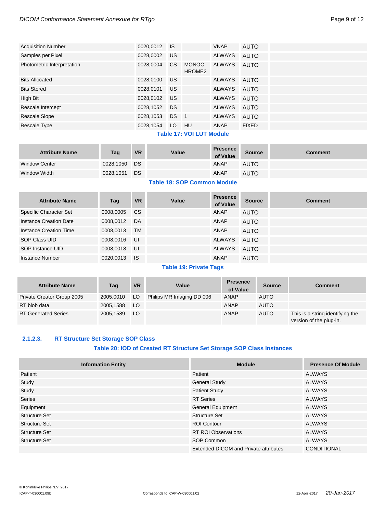#### *DICOM Conformance Statement Annexure for RTgo* extending the state of the page 9 of 12

| <b>Acquisition Number</b>  | 0020,0012 | <b>IS</b>     |                                    | <b>VNAP</b>   | <b>AUTO</b>  |
|----------------------------|-----------|---------------|------------------------------------|---------------|--------------|
| Samples per Pixel          | 0028,0002 | US            |                                    | <b>ALWAYS</b> | <b>AUTO</b>  |
| Photometric Interpretation | 0028,0004 | <sub>CS</sub> | <b>MONOC</b><br>HROME <sub>2</sub> | ALWAYS        | AUTO         |
| <b>Bits Allocated</b>      | 0028,0100 | US            |                                    | ALWAYS        | AUTO         |
| <b>Bits Stored</b>         | 0028,0101 | US            |                                    | ALWAYS        | AUTO         |
| High Bit                   | 0028,0102 | US            |                                    | ALWAYS        | AUTO         |
| Rescale Intercept          | 0028,1052 | <b>DS</b>     |                                    | ALWAYS        | <b>AUTO</b>  |
| <b>Rescale Slope</b>       | 0028,1053 | DS.           | $\blacksquare$                     | ALWAYS        | <b>AUTO</b>  |
| Rescale Type               | 0028,1054 | LO.           | HU                                 | ANAP          | <b>FIXED</b> |
|                            |           |               | アンレイン オファ いんいし しげき あんこうしょう         |               |              |

#### **Table 17: VOI LUT Module**

| <b>Attribute Name</b> | Tag       | <b>VR</b> | Value | <b>Presence</b><br>of Value | <b>Source</b> | Comment |
|-----------------------|-----------|-----------|-------|-----------------------------|---------------|---------|
| <b>Window Center</b>  | 0028.1050 | DS        |       | ANAP                        | <b>AUTO</b>   |         |
| Window Width          | 0028,1051 | DS        |       | ANAP                        | <b>AUTO</b>   |         |

## **Table 18: SOP Common Module**

| <b>Attribute Name</b>  | Tag       | <b>VR</b> | Value | <b>Presence</b><br>of Value | <b>Source</b> | <b>Comment</b> |
|------------------------|-----------|-----------|-------|-----------------------------|---------------|----------------|
| Specific Character Set | 0008.0005 | <b>CS</b> |       | ANAP                        | <b>AUTO</b>   |                |
| Instance Creation Date | 0008.0012 | DA        |       | ANAP                        | <b>AUTO</b>   |                |
| Instance Creation Time | 0008,0013 | <b>TM</b> |       | ANAP                        | <b>AUTO</b>   |                |
| SOP Class UID          | 0008.0016 | UI        |       | ALWAYS                      | AUTO          |                |
| SOP Instance UID       | 0008,0018 | UI        |       | ALWAYS                      | AUTO          |                |
| Instance Number        | 0020.0013 | <b>IS</b> |       | ANAP                        | <b>AUTO</b>   |                |

#### **Table 19: Private Tags**

| <b>Attribute Name</b>      | Tag       | <b>VR</b> | Value                     | <b>Presence</b><br>of Value | <b>Source</b> | <b>Comment</b>                                              |
|----------------------------|-----------|-----------|---------------------------|-----------------------------|---------------|-------------------------------------------------------------|
| Private Creator Group 2005 | 2005.0010 | LO.       | Philips MR Imaging DD 006 | <b>ANAP</b>                 | <b>AUTO</b>   |                                                             |
| RT blob data               | 2005.1588 | LO        |                           | ANAP                        | <b>AUTO</b>   |                                                             |
| <b>RT Generated Series</b> | 2005.1589 | LO.       |                           | ANAP                        | <b>AUTO</b>   | This is a string identifying the<br>version of the plug-in. |

#### <span id="page-8-0"></span>**2.1.2.3. RT Structure Set Storage SOP Class**

#### **Table 20: IOD of Created RT Structure Set Storage SOP Class Instances**

| <b>Information Entity</b> | <b>Module</b>                                | <b>Presence Of Module</b> |
|---------------------------|----------------------------------------------|---------------------------|
| Patient                   | Patient                                      | <b>ALWAYS</b>             |
| Study                     | <b>General Study</b>                         | ALWAYS                    |
| Study                     | <b>Patient Study</b>                         | <b>ALWAYS</b>             |
| Series                    | <b>RT</b> Series                             | <b>ALWAYS</b>             |
| Equipment                 | General Equipment                            | <b>ALWAYS</b>             |
| <b>Structure Set</b>      | <b>Structure Set</b>                         | <b>ALWAYS</b>             |
| <b>Structure Set</b>      | <b>ROI Contour</b>                           | <b>ALWAYS</b>             |
| <b>Structure Set</b>      | <b>RT ROI Observations</b>                   | <b>ALWAYS</b>             |
| <b>Structure Set</b>      | SOP Common                                   | <b>ALWAYS</b>             |
|                           | <b>Extended DICOM and Private attributes</b> | <b>CONDITIONAL</b>        |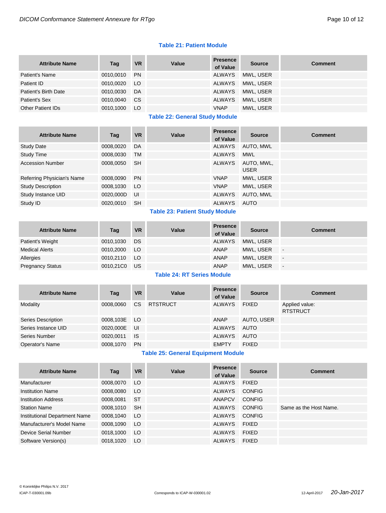#### **Table 21: Patient Module**

| <b>Attribute Name</b>    | Tag       | <b>VR</b>     | Value | <b>Presence</b><br>of Value | <b>Source</b> | <b>Comment</b> |
|--------------------------|-----------|---------------|-------|-----------------------------|---------------|----------------|
| Patient's Name           | 0010.0010 | <b>PN</b>     |       | ALWAYS                      | MWL. USER     |                |
| Patient ID               | 0010.0020 | LO            |       | ALWAYS                      | MWL. USER     |                |
| Patient's Birth Date     | 0010.0030 | DA            |       | ALWAYS                      | MWL. USER     |                |
| Patient's Sex            | 0010,0040 | <sub>CS</sub> |       | <b>ALWAYS</b>               | MWL. USER     |                |
| <b>Other Patient IDs</b> | 0010,1000 | LO            |       | <b>VNAP</b>                 | MWL, USER     |                |

#### **Table 22: General Study Module**

| <b>Attribute Name</b>      | Taq       | <b>VR</b> | Value | <b>Presence</b><br>of Value | <b>Source</b>             | <b>Comment</b> |
|----------------------------|-----------|-----------|-------|-----------------------------|---------------------------|----------------|
| <b>Study Date</b>          | 0008,0020 | DA        |       | ALWAYS                      | AUTO, MWL                 |                |
| Study Time                 | 0008,0030 | <b>TM</b> |       | <b>ALWAYS</b>               | <b>MWL</b>                |                |
| <b>Accession Number</b>    | 0008,0050 | <b>SH</b> |       | <b>ALWAYS</b>               | AUTO, MWL,<br><b>USER</b> |                |
| Referring Physician's Name | 0008,0090 | <b>PN</b> |       | <b>VNAP</b>                 | MWL, USER                 |                |
| <b>Study Description</b>   | 0008,1030 | LO.       |       | <b>VNAP</b>                 | MWL, USER                 |                |
| Study Instance UID         | 0020,000D | UI        |       | ALWAYS                      | AUTO, MWL                 |                |
| Study ID                   | 0020.0010 | <b>SH</b> |       | ALWAYS                      | AUTO                      |                |

# **Table 23: Patient Study Module**

| <b>Attribute Name</b>   | Tag          | <b>VR</b> | Value | <b>Presence</b><br>of Value | <b>Source</b> | <b>Comment</b>           |
|-------------------------|--------------|-----------|-------|-----------------------------|---------------|--------------------------|
| Patient's Weight        | 0010,1030    | DS        |       | <b>ALWAYS</b>               | MWL. USER     |                          |
| <b>Medical Alerts</b>   | 0010,2000    | <b>LO</b> |       | <b>ANAP</b>                 | MWL. USER     | $\overline{\phantom{a}}$ |
| Allergies               | 0010,2110    | <b>LO</b> |       | <b>ANAP</b>                 | MWL. USER     | $\overline{\phantom{a}}$ |
| <b>Pregnancy Status</b> | 0010,21C0 US |           |       | <b>ANAP</b>                 | MWL, USER     | $\overline{\phantom{a}}$ |

# **Table 24: RT Series Module**

| <b>Attribute Name</b> | Tag          | <b>VR</b>     | Value           | <b>Presence</b><br>of Value | <b>Source</b> | <b>Comment</b>                    |
|-----------------------|--------------|---------------|-----------------|-----------------------------|---------------|-----------------------------------|
| Modality              | 0008.0060    | <sub>CS</sub> | <b>RTSTRUCT</b> | ALWAYS                      | <b>FIXED</b>  | Applied value:<br><b>RTSTRUCT</b> |
| Series Description    | 0008,103E LO |               |                 | ANAP                        | AUTO, USER    |                                   |
| Series Instance UID   | 0020.000E    | - UI          |                 | ALWAYS                      | AUTO          |                                   |
| Series Number         | 0020.0011    | <b>IS</b>     |                 | <b>ALWAYS</b>               | AUTO          |                                   |
| Operator's Name       | 0008,1070    | <b>PN</b>     |                 | <b>EMPTY</b>                | <b>FIXED</b>  |                                   |

## **Table 25: General Equipment Module**

| <b>Attribute Name</b>         | Tag       | <b>VR</b> | Value | <b>Presence</b><br>of Value | Source        | <b>Comment</b>         |
|-------------------------------|-----------|-----------|-------|-----------------------------|---------------|------------------------|
| Manufacturer                  | 0008,0070 | LO.       |       | ALWAYS                      | <b>FIXED</b>  |                        |
| <b>Institution Name</b>       | 0008,0080 | LO.       |       | <b>ALWAYS</b>               | <b>CONFIG</b> |                        |
| <b>Institution Address</b>    | 0008,0081 | -ST       |       | ANAPCV                      | <b>CONFIG</b> |                        |
| <b>Station Name</b>           | 0008,1010 | -SH       |       | <b>ALWAYS</b>               | <b>CONFIG</b> | Same as the Host Name. |
| Institutional Department Name | 0008,1040 | LO.       |       | ALWAYS                      | <b>CONFIG</b> |                        |
| Manufacturer's Model Name     | 0008,1090 | LO.       |       | ALWAYS                      | <b>FIXED</b>  |                        |
| Device Serial Number          | 0018,1000 | LO        |       | <b>ALWAYS</b>               | <b>FIXED</b>  |                        |
| Software Version(s)           | 0018.1020 | LO.       |       | ALWAYS                      | <b>FIXED</b>  |                        |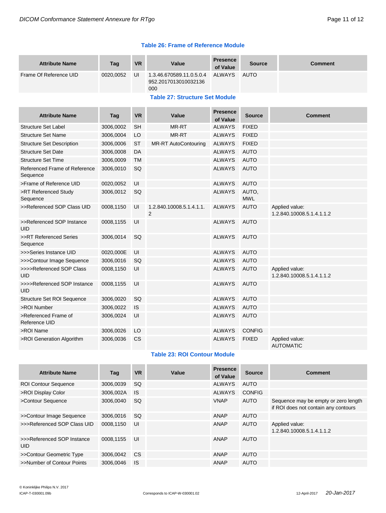|  |  | <b>Table 26: Frame of Reference Module</b> |  |
|--|--|--------------------------------------------|--|
|  |  |                                            |  |

| <b>Attribute Name</b>                     | Taq       | <b>VR</b> | Value                                                   | <b>Presence</b><br>of Value | <b>Source</b>       | <b>Comment</b>                              |
|-------------------------------------------|-----------|-----------|---------------------------------------------------------|-----------------------------|---------------------|---------------------------------------------|
| Frame Of Reference UID                    | 0020,0052 | UI        | 1.3.46.670589.11.0.5.0.4<br>952.2017013010032136<br>000 | <b>ALWAYS</b>               | <b>AUTO</b>         |                                             |
|                                           |           |           | <b>Table 27: Structure Set Module</b>                   |                             |                     |                                             |
| <b>Attribute Name</b>                     | Tag       | <b>VR</b> | Value                                                   | <b>Presence</b><br>of Value | <b>Source</b>       | <b>Comment</b>                              |
| <b>Structure Set Label</b>                | 3006,0002 | <b>SH</b> | <b>MR-RT</b>                                            | <b>ALWAYS</b>               | <b>FIXED</b>        |                                             |
| <b>Structure Set Name</b>                 | 3006,0004 | LO        | MR-RT                                                   | <b>ALWAYS</b>               | <b>FIXED</b>        |                                             |
| <b>Structure Set Description</b>          | 3006,0006 | <b>ST</b> | <b>MR-RT AutoContouring</b>                             | <b>ALWAYS</b>               | <b>FIXED</b>        |                                             |
| <b>Structure Set Date</b>                 | 3006,0008 | DA        |                                                         | <b>ALWAYS</b>               | <b>AUTO</b>         |                                             |
| <b>Structure Set Time</b>                 | 3006,0009 | <b>TM</b> |                                                         | <b>ALWAYS</b>               | <b>AUTO</b>         |                                             |
| Referenced Frame of Reference<br>Sequence | 3006,0010 | <b>SQ</b> |                                                         | <b>ALWAYS</b>               | <b>AUTO</b>         |                                             |
| >Frame of Reference UID                   | 0020,0052 | UI        |                                                         | <b>ALWAYS</b>               | <b>AUTO</b>         |                                             |
| >RT Referenced Study<br>Sequence          | 3006,0012 | SQ        |                                                         | <b>ALWAYS</b>               | AUTO.<br><b>MWL</b> |                                             |
| >>Referenced SOP Class UID                | 0008,1150 | UI        | 1.2.840.10008.5.1.4.1.1.<br>2                           | <b>ALWAYS</b>               | <b>AUTO</b>         | Applied value:<br>1.2.840.10008.5.1.4.1.1.2 |
| >>Referenced SOP Instance<br><b>UID</b>   | 0008,1155 | UI        |                                                         | <b>ALWAYS</b>               | <b>AUTO</b>         |                                             |
| >>RT Referenced Series<br>Sequence        | 3006,0014 | SQ        |                                                         | <b>ALWAYS</b>               | <b>AUTO</b>         |                                             |
| >>>Series Instance UID                    | 0020,000E | UI        |                                                         | <b>ALWAYS</b>               | <b>AUTO</b>         |                                             |
| >>>Contour Image Sequence                 | 3006,0016 | SQ        |                                                         | <b>ALWAYS</b>               | <b>AUTO</b>         |                                             |
| >>>>Referenced SOP Class<br>UID           | 0008,1150 | UI        |                                                         | <b>ALWAYS</b>               | <b>AUTO</b>         | Applied value:<br>1.2.840.10008.5.1.4.1.1.2 |
| >>>>Referenced SOP Instance<br><b>UID</b> | 0008,1155 | UI        |                                                         | <b>ALWAYS</b>               | <b>AUTO</b>         |                                             |
| <b>Structure Set ROI Sequence</b>         | 3006,0020 | SQ        |                                                         | <b>ALWAYS</b>               | <b>AUTO</b>         |                                             |
| >ROI Number                               | 3006,0022 | <b>IS</b> |                                                         | <b>ALWAYS</b>               | <b>AUTO</b>         |                                             |
| >Referenced Frame of<br>Reference UID     | 3006,0024 | UI        |                                                         | <b>ALWAYS</b>               | <b>AUTO</b>         |                                             |
| >ROI Name                                 | 3006,0026 | LO        |                                                         | <b>ALWAYS</b>               | <b>CONFIG</b>       |                                             |
| >ROI Generation Algorithm                 | 3006,0036 | CS        |                                                         | <b>ALWAYS</b>               | <b>FIXED</b>        | Applied value:<br><b>AUTOMATIC</b>          |

# **Table 23: ROI Contour Module**

| <b>Attribute Name</b>                    | Tag       | <b>VR</b> | Value | <b>Presence</b><br>of Value | <b>Source</b> | <b>Comment</b>                                                               |
|------------------------------------------|-----------|-----------|-------|-----------------------------|---------------|------------------------------------------------------------------------------|
| <b>ROI Contour Sequence</b>              | 3006,0039 | -SQ       |       | <b>ALWAYS</b>               | AUTO          |                                                                              |
| >ROI Display Color                       | 3006,002A | <b>IS</b> |       | <b>ALWAYS</b>               | <b>CONFIG</b> |                                                                              |
| >Contour Sequence                        | 3006.0040 | <b>SQ</b> |       | <b>VNAP</b>                 | AUTO          | Sequence may be empty or zero length<br>if ROI does not contain any contours |
| >>Contour Image Sequence                 | 3006,0016 | -SQ       |       | ANAP                        | <b>AUTO</b>   |                                                                              |
| >>>Referenced SOP Class UID              | 0008.1150 | UI        |       | ANAP                        | <b>AUTO</b>   | Applied value:<br>1.2.840.10008.5.1.4.1.1.2                                  |
| >>>Referenced SOP Instance<br><b>UID</b> | 0008.1155 | UI        |       | ANAP                        | AUTO          |                                                                              |
| >>Contour Geometric Type                 | 3006.0042 | <b>CS</b> |       | ANAP                        | AUTO          |                                                                              |
| >>Number of Contour Points               | 3006.0046 | <b>IS</b> |       | ANAP                        | AUTO          |                                                                              |